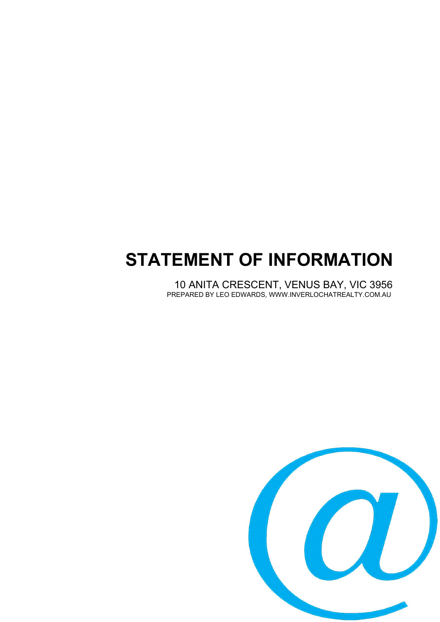# **STATEMENT OF INFORMATION**

10 ANITA CRESCENT, VENUS BAY, VIC 3956 PREPARED BY LEO EDWARDS, WWW.INVERLOCHATREALTY.COM.AU